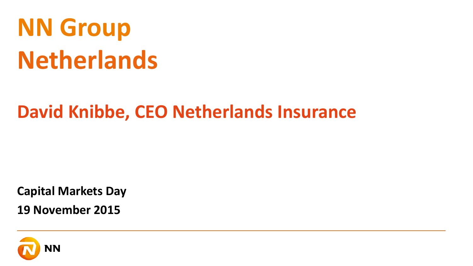# **NN Group Netherlands**

### **David Knibbe, CEO Netherlands Insurance**

**Capital Markets Day**

**19 November 2015**

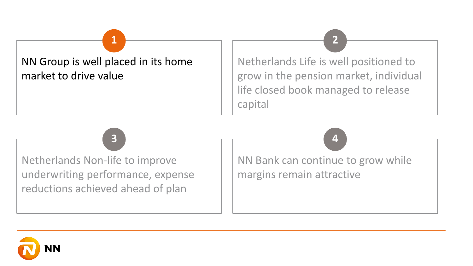

Netherlands Life is well positioned to grow in the pension market, individual life closed book managed to release capital

**1 2**

**3 4**

Netherlands Non-life to improve underwriting performance, expense reductions achieved ahead of plan

NN Bank can continue to grow while margins remain attractive

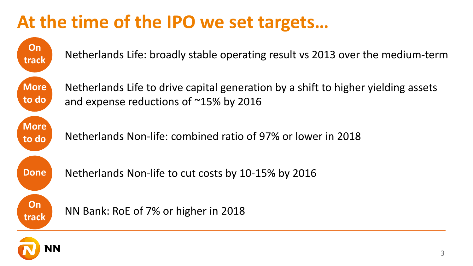### **At the time of the IPO we set targets…**

**track On Done More to do More to do**

**On** 

Netherlands Life: broadly stable operating result vs 2013 over the medium-term

Netherlands Life to drive capital generation by a shift to higher yielding assets and expense reductions of ~15% by 2016

Netherlands Non-life: combined ratio of 97% or lower in 2018



Netherlands Non-life to cut costs by 10-15% by 2016



NN Bank: RoE of 7% or higher in 2018

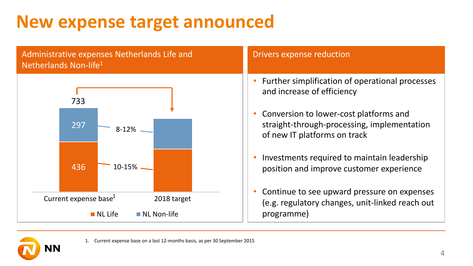### **New expense target announced**



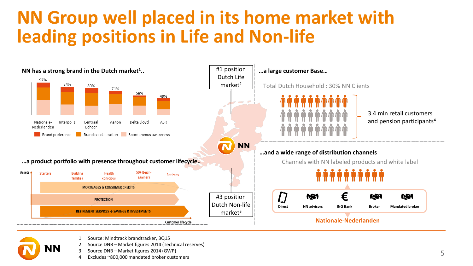### **NN Group well placed in its home market with leading positions in Life and Non-life**





- 1. Source: Mindtrack brandtracker, 3Q15
	- 2. Source DNB Market figures 2014 (Technical reserves)
- 3. Source DNB Market figures 2014 (GWP)
- 4. Excludes ~800,000 mandated broker customers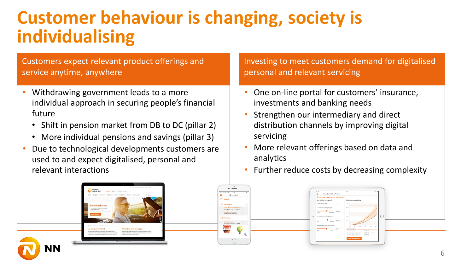### **Customer behaviour is changing, society is individualising**

Customers expect relevant product offerings and service anytime, anywhere

- Withdrawing government leads to a more individual approach in securing people's financial future
	- Shift in pension market from DB to DC (pillar 2)
	- More individual pensions and savings (pillar 3)
- Due to technological developments customers are used to and expect digitalised, personal and relevant interactions

Investing to meet customers demand for digitalised personal and relevant servicing

- One on-line portal for customers' insurance, investments and banking needs
- Strengthen our intermediary and direct distribution channels by improving digital servicing
- More relevant offerings based on data and analytics
- Further reduce costs by decreasing complexity

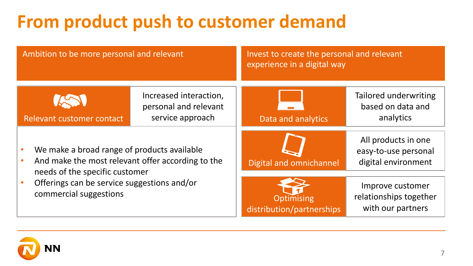## **From product push to customer demand**

| Ambition to be more personal and relevant                                                                                                                                                                   |                                                                     | Invest to create the personal and relevant<br>experience in a digital way |                                                                    |
|-------------------------------------------------------------------------------------------------------------------------------------------------------------------------------------------------------------|---------------------------------------------------------------------|---------------------------------------------------------------------------|--------------------------------------------------------------------|
| Relevant customer contact                                                                                                                                                                                   | Increased interaction,<br>personal and relevant<br>service approach | Data and analytics                                                        | Tailored underwriting<br>based on data and<br>analytics            |
| We make a broad range of products available<br>And make the most relevant offer according to the<br>needs of the specific customer<br>Offerings can be service suggestions and/or<br>commercial suggestions |                                                                     | Digital and omnichannel                                                   | All products in one<br>easy-to-use personal<br>digital environment |
|                                                                                                                                                                                                             |                                                                     | <b>Optimising</b><br>distribution/partnerships                            | Improve customer<br>relationships together<br>with our partners    |

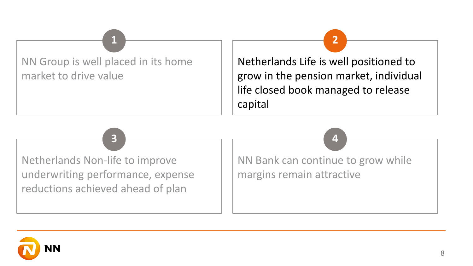NN Group is well placed in its home market to drive value

Netherlands Life is well positioned to grow in the pension market, individual life closed book managed to release capital

**1 2**

**3 4**

Netherlands Non-life to improve underwriting performance, expense reductions achieved ahead of plan

NN Bank can continue to grow while margins remain attractive

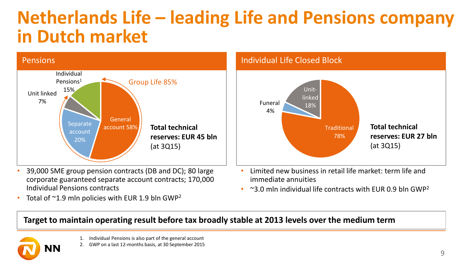### **Netherlands Life – leading Life and Pensions company in Dutch market**



- 39,000 SME group pension contracts (DB and DC); 80 large corporate guaranteed separate account contracts; 170,000 Individual Pensions contracts
- Total of  $\sim$ 1.9 mln policies with EUR 1.9 bln GWP<sup>2</sup>



- Limited new business in retail life market: term life and immediate annuities
- $\sim$ 3.0 mln individual life contracts with EUR 0.9 bln GWP<sup>2</sup>

#### **Target to maintain operating result before tax broadly stable at 2013 levels over the medium term**

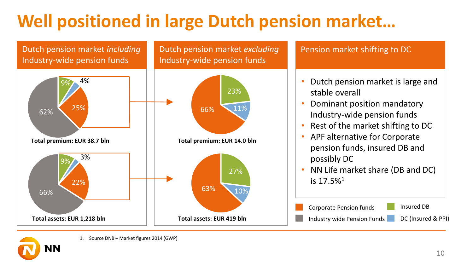### **Well positioned in large Dutch pension market…**







10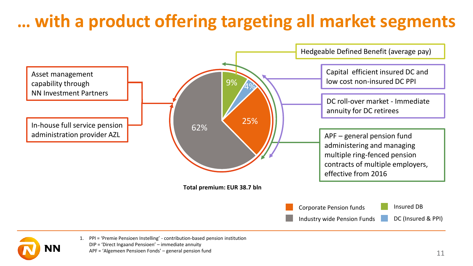### **… with a product offering targeting all market segments**

![](_page_10_Figure_1.jpeg)

![](_page_10_Picture_2.jpeg)

1. PPI = 'Premie Pensioen Instelling' - contribution-based pension institution DIP = 'Direct Ingaand Pensioen' – immediate annuity APF = 'Algemeen Pensioen Fonds' – general pension fund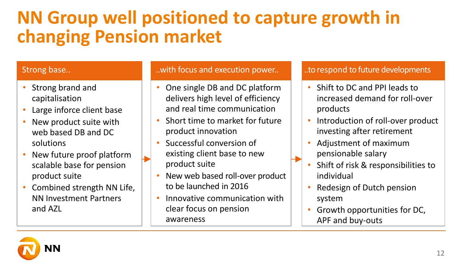### **NN Group well positioned to capture growth in changing Pension market**

#### Strong base..

- Strong brand and capitalisation
- Large inforce client base
- New product suite with web based DB and DC solutions
- New future proof platform scalable base for pension product suite
- Combined strength NN Life, NN Investment Partners and AZL

#### ..with focus and execution power..

- One single DB and DC platform delivers high level of efficiency and real time communication
- Short time to market for future product innovation
- Successful conversion of existing client base to new product suite
- New web based roll-over product to be launched in 2016
- Innovative communication with clear focus on pension awareness

#### ..to respond to future developments

- Shift to DC and PPI leads to increased demand for roll-over products
- Introduction of roll-over product investing after retirement
- Adjustment of maximum pensionable salary
- Shift of risk & responsibilities to individual
- Redesign of Dutch pension system
- Growth opportunities for DC, APF and buy-outs

![](_page_11_Picture_20.jpeg)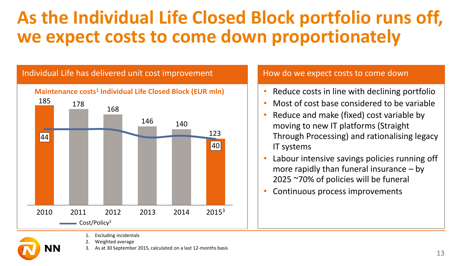### **As the Individual Life Closed Block portfolio runs off, we expect costs to come down proportionately**

#### Individual Life has delivered unit cost improvement **Maintenance costs<sup>1</sup> Individual Life Closed Block (EUR mln)** 185 123  $|40|$ 2015<sup>3</sup> 140 2013 2014 146 2012 168 2011 178 2010  $\equiv$  Cost/Policy<sup>2</sup> Excluding incidentals 44

- 2. Weighted average
- As at 30 September 2015, calculated on a last 12-months basis

#### How do we expect costs to come down

- Reduce costs in line with declining portfolio
- Most of cost base considered to be variable
- Reduce and make (fixed) cost variable by moving to new IT platforms (Straight Through Processing) and rationalising legacy IT systems
- Labour intensive savings policies running off more rapidly than funeral insurance – by 2025 ~70% of policies will be funeral
- Continuous process improvements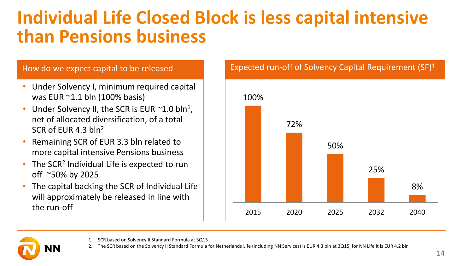### **Individual Life Closed Block is less capital intensive than Pensions business**

- Under Solvency I, minimum required capital was EUR ~1.1 bln (100% basis)
- Under Solvency II, the SCR is EUR  $\sim$  1.0 bln<sup>1</sup>, net of allocated diversification, of a total SCR of EUR 4.3 bln<sup>2</sup>
- Remaining SCR of EUR 3.3 bln related to more capital intensive Pensions business
- The SCR<sup>2</sup> Individual Life is expected to run off ~50% by 2025
- The capital backing the SCR of Individual Life will approximately be released in line with the run-off

![](_page_13_Figure_7.jpeg)

![](_page_13_Picture_8.jpeg)

- 1. SCR based on Solvency II Standard Formula at 3Q15
- 2. The SCR based on the Solvency II Standard Formula for Netherlands Life (including NN Services) is EUR 4.3 bln at 3Q15, for NN Life it is EUR 4.2 bln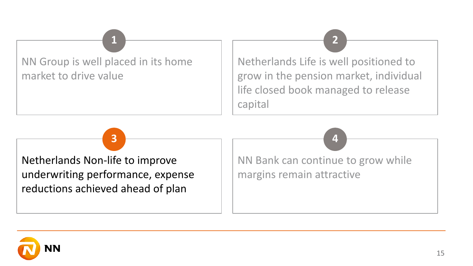NN Group is well placed in its home market to drive value

Netherlands Life is well positioned to grow in the pension market, individual life closed book managed to release capital

**1 2**

**3 4**

Netherlands Non-life to improve underwriting performance, expense reductions achieved ahead of plan

NN Bank can continue to grow while margins remain attractive

![](_page_14_Picture_4.jpeg)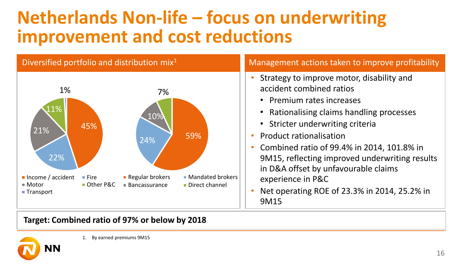### **Netherlands Non-life – focus on underwriting improvement and cost reductions**

![](_page_15_Figure_1.jpeg)

- Strategy to improve motor, disability and accident combined ratios
	- Premium rates increases
	- Rationalising claims handling processes
	- Stricter underwriting criteria
- Product rationalisation
- Combined ratio of 99.4% in 2014, 101.8% in 9M15, reflecting improved underwriting results in D&A offset by unfavourable claims experience in P&C
- Net operating ROE of 23.3% in 2014, 25.2% in 9M15

#### **Target: Combined ratio of 97% or below by 2018**

![](_page_15_Picture_11.jpeg)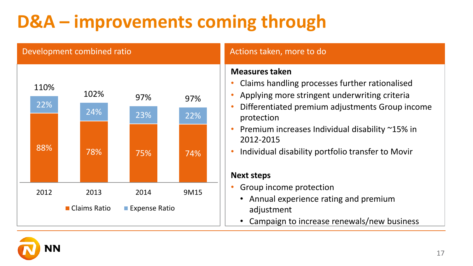## **D&A – improvements coming through**

#### 88% 78% 75% 74% 22% 24% 23% 22% 110% 102% 97% 97% 2012 2013 2014 9M15 ■ Claims Ratio ■ Expense Ratio **Measures taken** • Claims handling processes further rationalised • Applying more stringent underwriting criteria • Differentiated premium adjustments Group income protection • Premium increases Individual disability ~15% in 2012-2015 • Individual disability portfolio transfer to Movir **Next steps** • Group income protection • Annual experience rating and premium adjustment • Campaign to increase renewals/new business Development combined ratio Actions taken, more to do

![](_page_16_Picture_2.jpeg)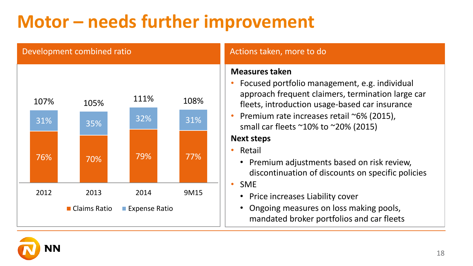### **Motor – needs further improvement**

# 76% 70% 79% 77% 31% 35% 32% 31%  $107\%$  105%  $111\%$  108% 2012 2013 2014 9M15 ■ Claims Ratio ■ Expense Ratio

#### Development combined ratio Actions taken, more to do

#### **Measures taken**

- Focused portfolio management, e.g. individual approach frequent claimers, termination large car fleets, introduction usage-based car insurance
- Premium rate increases retail ~6% (2015), small car fleets ~10% to ~20% (2015)

#### **Next steps**

- Retail
	- Premium adjustments based on risk review, discontinuation of discounts on specific policies

• SME

- Price increases Liability cover
- Ongoing measures on loss making pools, mandated broker portfolios and car fleets

![](_page_17_Picture_12.jpeg)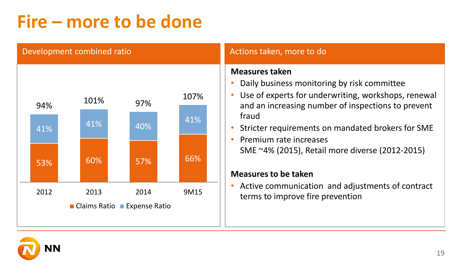### **Fire – more to be done**

Development combined ratio

![](_page_18_Figure_2.jpeg)

#### Actions taken, more to do

#### **Measures taken**

- Daily business monitoring by risk committee
- Use of experts for underwriting, workshops, renewal and an increasing number of inspections to prevent fraud
- Stricter requirements on mandated brokers for SME
- Premium rate increases SME ~4% (2015), Retail more diverse (2012-2015)

#### **Measures to be taken**

• Active communication and adjustments of contract terms to improve fire prevention

![](_page_18_Picture_11.jpeg)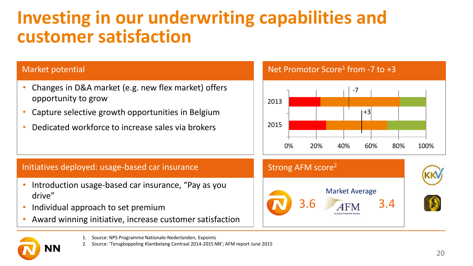### **Investing in our underwriting capabilities and customer satisfaction**

#### Market potential

- Changes in D&A market (e.g. new flex market) offers opportunity to grow
- Capture selective growth opportunities in Belgium
- Dedicated workforce to increase sales via brokers

#### Net Promotor Score<sup>1</sup> from -7 to +3

![](_page_19_Figure_6.jpeg)

#### Initiatives deployed: usage-based car insurance  $\blacksquare$  Strong AFM score<sup>2</sup>

- Introduction usage-based car insurance, "Pay as you drive"
- Individual approach to set premium
- Award winning initiative, increase customer satisfaction

![](_page_19_Picture_11.jpeg)

![](_page_19_Picture_12.jpeg)

- 1. Source: NPS Programme Nationale-Nederlanden; Expoints
- 2. Source: 'Terugkoppeling Klantbelang Centraal 2014-2015 NN'; AFM report June 2015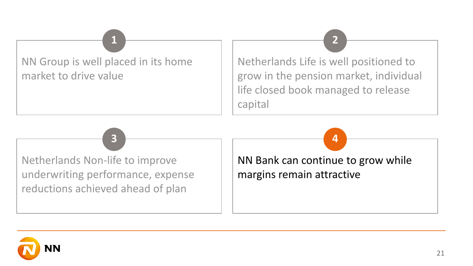### NN Group is well placed in its home market to drive value

Netherlands Life is well positioned to grow in the pension market, individual life closed book managed to release capital

**1 2**

**3 4**

Netherlands Non-life to improve underwriting performance, expense reductions achieved ahead of plan

NN Bank can continue to grow while margins remain attractive

![](_page_20_Picture_4.jpeg)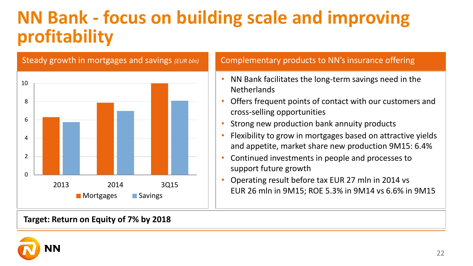### **NN Bank - focus on building scale and improving profitability**

![](_page_21_Figure_1.jpeg)

#### **Target: Return on Equity of 7% by 2018**

- NN Bank facilitates the long-term savings need in the **Netherlands**
- Offers frequent points of contact with our customers and cross-selling opportunities
- Strong new production bank annuity products
- Flexibility to grow in mortgages based on attractive yields and appetite, market share new production 9M15: 6.4%
- Continued investments in people and processes to support future growth
- Operating result before tax EUR 27 mln in 2014 vs EUR 26 mln in 9M15; ROE 5.3% in 9M14 vs 6.6% in 9M15

![](_page_21_Picture_10.jpeg)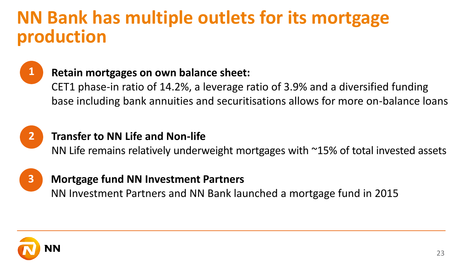### **NN Bank has multiple outlets for its mortgage production**

![](_page_22_Picture_1.jpeg)

### **Retain mortgages on own balance sheet:**

CET1 phase-in ratio of 14.2%, a leverage ratio of 3.9% and a diversified funding base including bank annuities and securitisations allows for more on-balance loans

![](_page_22_Picture_4.jpeg)

### **Transfer to NN Life and Non-life**

NN Life remains relatively underweight mortgages with ~15% of total invested assets

![](_page_22_Picture_7.jpeg)

#### **Mortgage fund NN Investment Partners**

NN Investment Partners and NN Bank launched a mortgage fund in 2015

![](_page_22_Picture_10.jpeg)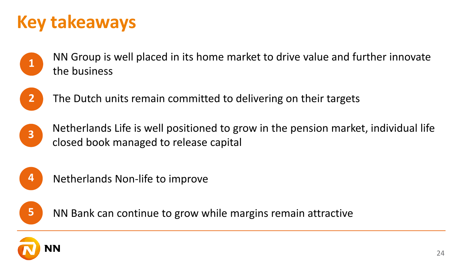### **Key takeaways**

NN Group is well placed in its home market to drive value and further innovate **1** the business

![](_page_23_Picture_2.jpeg)

- **2** The Dutch units remain committed to delivering on their targets
- - Netherlands Life is well positioned to grow in the pension market, individual life **a** closed book managed to release capital

![](_page_23_Picture_6.jpeg)

**4** Netherlands Non-life to improve

![](_page_23_Picture_8.jpeg)

**5** NN Bank can continue to grow while margins remain attractive

![](_page_23_Picture_10.jpeg)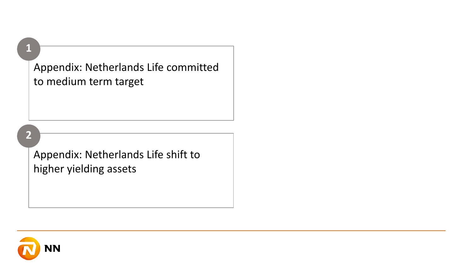Appendix: Netherlands Life committed to medium term target

#### **2**

**1**

Appendix: Netherlands Life shift to higher yielding assets

![](_page_24_Picture_3.jpeg)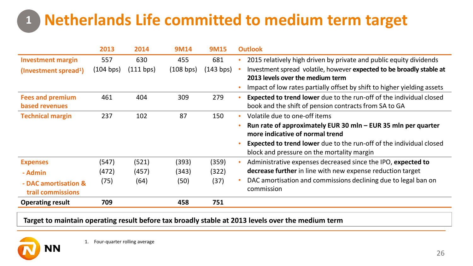### **Netherlands Life committed to medium term target 1**

|                                           | 2013      | 2014      | 9M14      | <b>9M15</b> |           | <b>Outlook</b>                                                                                                               |
|-------------------------------------------|-----------|-----------|-----------|-------------|-----------|------------------------------------------------------------------------------------------------------------------------------|
| <b>Investment margin</b>                  | 557       | 630       | 455       | 681         |           | 2015 relatively high driven by private and public equity dividends                                                           |
| (Investment spread <sup>1</sup> )         | (104 bps) | (111 bps) | (108 bps) | $143$ bps)  |           | Investment spread volatile, however expected to be broadly stable at<br>2013 levels over the medium term                     |
|                                           |           |           |           |             |           | Impact of low rates partially offset by shift to higher yielding assets                                                      |
| <b>Fees and premium</b><br>based revenues | 461       | 404       | 309       | 279         |           | Expected to trend lower due to the run-off of the individual closed<br>book and the shift of pension contracts from SA to GA |
| <b>Technical margin</b>                   | 237       | 102       | 87        | 150         | $\bullet$ | Volatile due to one-off items                                                                                                |
|                                           |           |           |           |             |           | Run rate of approximately EUR 30 mln - EUR 35 mln per quarter<br>more indicative of normal trend                             |
|                                           |           |           |           |             |           | <b>Expected to trend lower</b> due to the run-off of the individual closed<br>block and pressure on the mortality margin     |
| <b>Expenses</b>                           | (547)     | (521)     | (393)     | (359)       |           | Administrative expenses decreased since the IPO, expected to                                                                 |
| - Admin                                   | (472)     | (457)     | (343)     | (322)       |           | decrease further in line with new expense reduction target                                                                   |
| - DAC amortisation &<br>trail commissions | (75)      | (64)      | (50)      | (37)        |           | DAC amortisation and commissions declining due to legal ban on<br>commission                                                 |
| <b>Operating result</b>                   | 709       |           | 458       | 751         |           |                                                                                                                              |

**Target to maintain operating result before tax broadly stable at 2013 levels over the medium term**

![](_page_25_Picture_3.jpeg)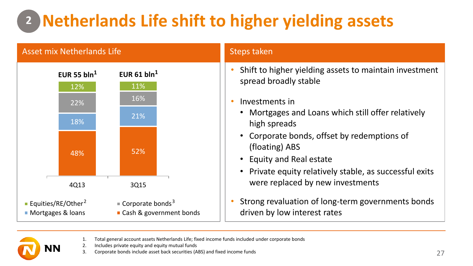## **Netherlands Life shift to higher yielding assets 2**

![](_page_26_Figure_1.jpeg)

1. Total general account assets Netherlands Life; fixed income funds included under corporate bonds

2. Includes private equity and equity mutual funds

3. Corporate bonds include asset back securities (ABS) and fixed income funds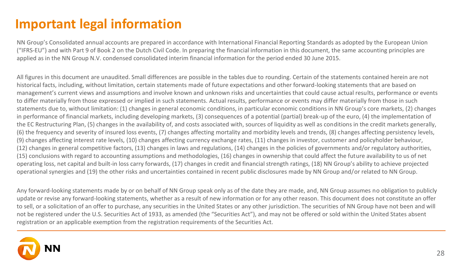### **Important legal information**

NN Group's Consolidated annual accounts are prepared in accordance with International Financial Reporting Standards as adopted by the European Union ("IFRS-EU") and with Part 9 of Book 2 on the Dutch Civil Code. In preparing the financial information in this document, the same accounting principles are applied as in the NN Group N.V. condensed consolidated interim financial information for the period ended 30 June 2015.

All figures in this document are unaudited. Small differences are possible in the tables due to rounding. Certain of the statements contained herein are not historical facts, including, without limitation, certain statements made of future expectations and other forward-looking statements that are based on management's current views and assumptions and involve known and unknown risks and uncertainties that could cause actual results, performance or events to differ materially from those expressed or implied in such statements. Actual results, performance or events may differ materially from those in such statements due to, without limitation: (1) changes in general economic conditions, in particular economic conditions in NN Group's core markets, (2) changes in performance of financial markets, including developing markets, (3) consequences of a potential (partial) break-up of the euro, (4) the implementation of the EC Restructuring Plan, (5) changes in the availability of, and costs associated with, sources of liquidity as well as conditions in the credit markets generally, (6) the frequency and severity of insured loss events, (7) changes affecting mortality and morbidity levels and trends, (8) changes affecting persistency levels, (9) changes affecting interest rate levels, (10) changes affecting currency exchange rates, (11) changes in investor, customer and policyholder behaviour, (12) changes in general competitive factors, (13) changes in laws and regulations, (14) changes in the policies of governments and/or regulatory authorities, (15) conclusions with regard to accounting assumptions and methodologies, (16) changes in ownership that could affect the future availability to us of net operating loss, net capital and built-in loss carry forwards, (17) changes in credit and financial strength ratings, (18) NN Group's ability to achieve projected operational synergies and (19) the other risks and uncertainties contained in recent public disclosures made by NN Group and/or related to NN Group.

Any forward-looking statements made by or on behalf of NN Group speak only as of the date they are made, and, NN Group assumes no obligation to publicly update or revise any forward-looking statements, whether as a result of new information or for any other reason. This document does not constitute an offer to sell, or a solicitation of an offer to purchase, any securities in the United States or any other jurisdiction. The securities of NN Group have not been and will not be registered under the U.S. Securities Act of 1933, as amended (the "Securities Act"), and may not be offered or sold within the United States absent registration or an applicable exemption from the registration requirements of the Securities Act.

![](_page_27_Picture_4.jpeg)